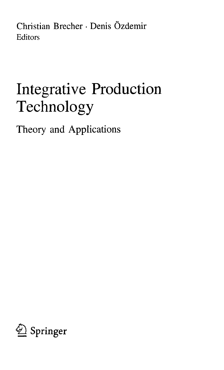Christian Brecher • Denis Özdemir Editors

## Integrative Production Technology

Theory and Applications

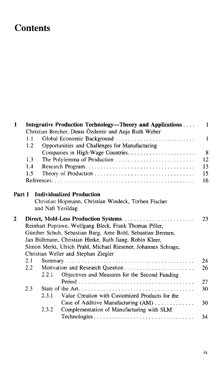## **Contents**

| $\mathbf{1}$ |         |       | Integrative Production Technology—Theory and Applications<br>Christian Brecher, Denis Özdemir and Anja Ruth Weber                                                                                                                                                                          | $\mathbf{1}$ |
|--------------|---------|-------|--------------------------------------------------------------------------------------------------------------------------------------------------------------------------------------------------------------------------------------------------------------------------------------------|--------------|
|              | 1.1     |       | Global Economic Background                                                                                                                                                                                                                                                                 | 1            |
|              | 1.2     |       | Opportunities and Challenges for Manufacturing                                                                                                                                                                                                                                             |              |
|              |         |       |                                                                                                                                                                                                                                                                                            | 8            |
|              | 1.3     |       | The Polylemma of Production                                                                                                                                                                                                                                                                | 12           |
|              | 1.4     |       |                                                                                                                                                                                                                                                                                            | 13           |
|              | 1.5     |       |                                                                                                                                                                                                                                                                                            | 15           |
|              |         |       |                                                                                                                                                                                                                                                                                            | 16           |
| Part I       |         |       | <b>Individualized Production</b><br>Christian Hopmann, Christian Windeck, Torben Fischer<br>and Nafi Yesildag                                                                                                                                                                              |              |
| $\mathbf{2}$ |         |       | Reinhart Poprawe, Wolfgang Bleck, Frank Thomas Piller,<br>Günther Schuh, Sebastian Barg, Arne Bohl, Sebastian Bremen,<br>Jan Bültmann, Christian Hinke, Ruth Jiang, Robin Kleer,<br>Simon Merkt, Ulrich Prahl, Michael Riesener, Johannes Schrage,<br>Christian Weller and Stephan Ziegler | 23           |
|              | 2.1     |       |                                                                                                                                                                                                                                                                                            | 24           |
|              | $2.2\,$ |       |                                                                                                                                                                                                                                                                                            | 26           |
|              |         | 2.2.1 | Objectives and Measures for the Second Funding                                                                                                                                                                                                                                             |              |
|              |         |       |                                                                                                                                                                                                                                                                                            | 27           |
|              | 2.3     |       |                                                                                                                                                                                                                                                                                            | 30           |
|              |         | 2.3.1 | Value Creation with Customized Products for the                                                                                                                                                                                                                                            |              |
|              |         |       | Case of Additive Manufacturing (AM)                                                                                                                                                                                                                                                        | 30           |
|              |         | 2.3.2 | Complementation of Manufacturing with SLM                                                                                                                                                                                                                                                  |              |
|              |         |       |                                                                                                                                                                                                                                                                                            | 34           |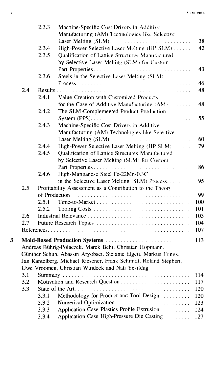## x Contents and the content of the content of the content of the content of the content of the content of the content of the content of the content of the content of the content of the content of the content of the content

|   |     | 2.3.3          | Machine-Specific Cost Drivers in Additive                         |          |
|---|-----|----------------|-------------------------------------------------------------------|----------|
|   |     |                | Manufacturing (AM) Technologies like Selective                    |          |
|   |     |                |                                                                   | 38<br>42 |
|   |     | 2.3.4<br>2.3.5 | High-Power Selective Laser Melting (HP SLM)                       |          |
|   |     |                | Qualification of Lattice Structures Manufactured                  |          |
|   |     |                | by Selective Laser Melting (SLM) for Custom                       |          |
|   |     |                | Part Properties                                                   | 43       |
|   |     | 2.3.6          | Steels in the Selective Laser Melting (SLM)                       |          |
|   |     |                |                                                                   | 46       |
|   | 2.4 |                |                                                                   | 48       |
|   |     | 2.4.1          | Value Creation with Customized Products                           |          |
|   |     |                | for the Case of Additive Manufacturing (AM)                       | 48       |
|   |     | 2.4.2          | The SLM-Complemented Product Production                           |          |
|   |     |                |                                                                   | 55       |
|   |     | 2.4.3          | Machine-Specific Cost Drivers in Additive                         |          |
|   |     |                | Manufacturing (AM) Technologies like Selective                    |          |
|   |     |                |                                                                   | 60       |
|   |     | 2.4.4          | High-Power Selective Laser Melting (HP SLM)                       | 79.      |
|   |     | 2.4.5          | Qualification of Lattice Structures Manufactured                  |          |
|   |     |                | by Selective Laser Melting (SLM) for Custom                       |          |
|   |     |                |                                                                   | 86       |
|   |     | 2.4.6          | High-Manganese Steel Fe-22Mn-0.3C                                 |          |
|   |     |                | in the Selective Laser Melting (SLM) Process.                     | 95       |
|   | 2.5 |                | Profitability Assessment as a Contribution to the Theory          |          |
|   |     |                |                                                                   | 99       |
|   |     | 2.5.1          |                                                                   | 100      |
|   |     | 2.5.2          |                                                                   | 101      |
|   | 2.6 |                |                                                                   | 103      |
|   | 2.7 |                | Future Research Topics                                            | 104      |
|   |     |                |                                                                   | 107      |
| 3 |     |                |                                                                   | 113      |
|   |     |                | Andreas Bührig-Polaczek, Marek Behr, Christian Hopmann,           |          |
|   |     |                | Günther Schuh, Abassin Aryobsei, Stefanie Elgeti, Markus Frings,  |          |
|   |     |                | Jan Kantelberg, Michael Riesener, Frank Schmidt, Roland Siegbert, |          |
|   |     |                | Uwe Vroomen, Christian Windeck and Nafi Yesildag                  |          |
|   | 3.1 |                |                                                                   | 114      |
|   | 3.2 |                |                                                                   | 117      |
|   | 3.3 |                |                                                                   | 120      |
|   |     | 3.3.1          | Methodology for Product and Tool Design                           | 120      |
|   |     | 3.3.2          |                                                                   | 123      |
|   |     | 3.3.3          | Application Case Plastics Profile Extrusion                       | 124      |
|   |     | 3.3.4          | Application Case High-Pressure Die Casting                        | 127      |
|   |     |                |                                                                   |          |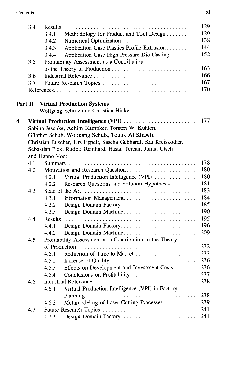|   | 3.4     |                                                                  | 129 |
|---|---------|------------------------------------------------------------------|-----|
|   |         | Methodology for Product and Tool Design<br>3.4.1                 | 129 |
|   |         | 3.4.2                                                            | 138 |
|   |         | Application Case Plastics Profile Extrusion<br>3.4.3             | 144 |
|   |         | Application Case High-Pressure Die Casting<br>3.4.4              | 152 |
|   | 3.5     | Profitability Assessment as a Contribution                       |     |
|   |         |                                                                  | 163 |
|   | 3.6     |                                                                  | 166 |
|   | 3.7     | Future Research Topics                                           | 167 |
|   |         |                                                                  | 170 |
|   | Part II | <b>Virtual Production Systems</b>                                |     |
|   |         | Wolfgang Schulz and Christian Hinke                              |     |
| 4 |         | Virtual Production Intelligence (VPI)                            | 177 |
|   |         | Sabina Jeschke, Achim Kampker, Torsten W. Kuhlen,                |     |
|   |         | Günther Schuh, Wolfgang Schulz, Toufik Al Khawli,                |     |
|   |         | Christian Büscher, Urs Eppelt, Sascha Gebhardt, Kai Kreisköther, |     |
|   |         | Sebastian Pick, Rudolf Reinhard, Hasan Tercan, Julian Utsch      |     |
|   |         | and Hanno Voet                                                   |     |
|   | 4.1     |                                                                  | 178 |
|   | 4.2     |                                                                  | 180 |
|   |         | Virtual Production Intelligence (VPI)<br>4.2.1                   | 180 |
|   |         | Research Questions and Solution Hypothesis<br>4.2.2              | 181 |
|   | 4.3     |                                                                  | 183 |
|   |         | 4.3.1                                                            | 184 |
|   |         | 4.3.2<br>Design Domain Factory                                   | 185 |
|   |         | Design Domain Machine<br>4.3.3                                   | 190 |
|   | 4.4     |                                                                  | 195 |
|   |         | Design Domain Factory<br>4.4.1                                   | 196 |
|   |         | Design Domain Machine<br>4.4.2                                   | 209 |
|   | 4.5     | Profitability Assessment as a Contribution to the Theory         |     |
|   |         |                                                                  | 232 |
|   |         | Reduction of Time-to-Market<br>4.5.1                             | 233 |
|   |         | 4.5.2<br>Increase of Quality                                     | 236 |
|   |         | Effects on Development and Investment Costs<br>4.5.3             | 236 |
|   |         | Conclusions on Profitability<br>4.5.4                            | 237 |
|   | 4.6     |                                                                  | 238 |
|   |         | Virtual Production Intelligence (VPI) in Factory<br>4.6.1        |     |
|   |         |                                                                  | 238 |
|   |         | Metamodeling of Laser Cutting Processes<br>4.6.2                 | 239 |
|   | 4.7     | Future Research Topics                                           | 241 |
|   |         | Design Domain Factory<br>4.7.1                                   | 241 |
|   |         |                                                                  |     |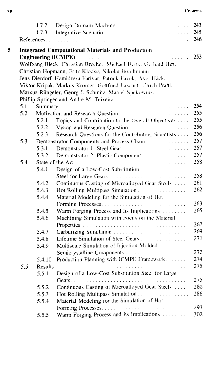|   |     | 4.7.2  | Design Domain Machine<br>a sa sala                                                                                                                                                                                             | 243 |
|---|-----|--------|--------------------------------------------------------------------------------------------------------------------------------------------------------------------------------------------------------------------------------|-----|
|   |     | 4.7.3  | Integrative Scenario<br>.                                                                                                                                                                                                      | 245 |
|   |     |        | .                                                                                                                                                                                                                              | 246 |
| 5 |     |        | <b>Integrated Computational Materials and Production</b>                                                                                                                                                                       |     |
|   |     |        | <b>Engineering (ICMPE)</b><br><b>Contract Contract</b>                                                                                                                                                                         | 253 |
|   |     |        | Wolfgang Bleck, Christian Brecher, Michael Herty, Gerhard Hirt,                                                                                                                                                                |     |
|   |     |        | Christian Hopmann, Fritz Klocke, Nikolai Borchmann,                                                                                                                                                                            |     |
|   |     |        | Jens Dierdorf, Hamidreza Farivar, Patrick Fayek, Axel Hack,                                                                                                                                                                    |     |
|   |     |        | Viktor Kripak, Markus Krömer, Gottfried Laschet, Ulrich Prahl,                                                                                                                                                                 |     |
|   |     |        | Markus Rüngeler, Georg J. Schmitz, Marcel Spekowius.                                                                                                                                                                           |     |
|   |     |        | Phillip Springer and Andre M. Teixeira                                                                                                                                                                                         |     |
|   | 5.1 |        | Summary                                                                                                                                                                                                                        | 254 |
|   | 5.2 |        | Motivation and Research Question<br>a a shekarar 20                                                                                                                                                                            | 255 |
|   |     | 5.2.1  | Topics and Contribution to the Overall Objectives                                                                                                                                                                              | 255 |
|   |     | 5.2.2  |                                                                                                                                                                                                                                | 256 |
|   |     | 5.2.3  | Research Questions for the Contributing Scientists                                                                                                                                                                             | 256 |
|   | 5.3 |        | Demonstrator Components and Process Chain and accessive and the control of the Demonstrator Components and Process Chain                                                                                                       | 257 |
|   |     | 5.3.1  |                                                                                                                                                                                                                                | 257 |
|   |     | 5.3.2  | Demonstrator 2: Plastic Component [1995] (1996) (1996) (1996) (1996) (1996) (1996) (1996) (1996) (1996) (1996) (1996) (1996) (1996) (1997) (1997) (1997) (1997) (1997) (1997) (1997) (1997) (1997) (1997) (1997) (1997) (1997) | 257 |
|   | 5.4 |        |                                                                                                                                                                                                                                | 258 |
|   |     | 5.4.1  | Design of a Low-Cost Substitution                                                                                                                                                                                              |     |
|   |     |        |                                                                                                                                                                                                                                | 258 |
|   |     | 5.4.2  | Continuous Casting of Microalloyed Gear Steels [111].                                                                                                                                                                          | 261 |
|   |     | 5.4.3  | Hot Rolling Multipass Simulation                                                                                                                                                                                               | 262 |
|   |     | 5.4.4  | Material Modeling for the Simulation of Hot                                                                                                                                                                                    |     |
|   |     |        |                                                                                                                                                                                                                                | 263 |
|   |     | 5.4.5  | Warm Forging Process and Its Implications                                                                                                                                                                                      | 265 |
|   |     | 5.4.6  | Machining Simulation with Focus on the Material                                                                                                                                                                                |     |
|   |     |        |                                                                                                                                                                                                                                | 267 |
|   |     | 5.4.7  | Carburizing Simulation                                                                                                                                                                                                         | 269 |
|   |     | 5.4.8  | Lifetime Simulation of Steel Gears                                                                                                                                                                                             | 271 |
|   |     | 5.4.9  | Multiscale Simulation of Injection Molded                                                                                                                                                                                      |     |
|   |     |        |                                                                                                                                                                                                                                | 272 |
|   |     | 5.4.10 | Production Planning with ICMPE Framework                                                                                                                                                                                       | 274 |
|   | 5.5 |        |                                                                                                                                                                                                                                | 275 |
|   |     | 5.5.1  | Design of a Low-Cost Substitution Steel for Large                                                                                                                                                                              |     |
|   |     |        |                                                                                                                                                                                                                                | 275 |
|   |     | 5.5.2  | Continuous Casting of Microalloyed Gear Steels                                                                                                                                                                                 | 280 |
|   |     | 5.5.3  | Hot Rolling Multipass Simulation                                                                                                                                                                                               | 286 |
|   |     | 5.5.4  | Material Modeling for the Simulation of Hot                                                                                                                                                                                    |     |
|   |     |        |                                                                                                                                                                                                                                | 293 |
|   |     | 5.5.5  | Warm Forging Process and Its Implications                                                                                                                                                                                      | 302 |
|   |     |        |                                                                                                                                                                                                                                |     |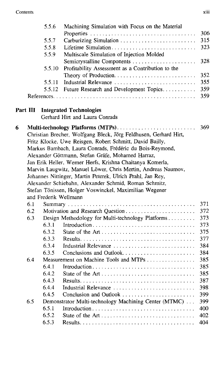|   |          | 5.5.6  | Machining Simulation with Focus on the Material                  |     |
|---|----------|--------|------------------------------------------------------------------|-----|
|   |          |        |                                                                  | 306 |
|   |          | 5.5.7  | Carburizing Simulation                                           | 315 |
|   |          | 5.5.8  |                                                                  | 323 |
|   |          | 5.5.9  | Multiscale Simulation of Injection Molded                        |     |
|   |          |        | Semicrystalline Components                                       | 328 |
|   |          | 5.5.10 | Profitability Assessment as a Contribution to the                |     |
|   |          |        |                                                                  | 352 |
|   |          | 5.5.11 | Industrial Relevance                                             | 355 |
|   |          | 5.5.12 | Future Research and Development Topics                           | 359 |
|   |          |        |                                                                  | 359 |
|   |          |        |                                                                  |     |
|   | Part III |        | <b>Integrated Technologies</b>                                   |     |
|   |          |        | Gerhard Hirt and Laura Conrads                                   |     |
| 6 |          |        | Multi-technology Platforms (MTPs)                                | 369 |
|   |          |        | Christian Brecher, Wolfgang Bleck, Jörg Feldhusen, Gerhard Hirt, |     |
|   |          |        | Fritz Klocke, Uwe Reisgen, Robert Schmitt, David Bailly,         |     |
|   |          |        | Markus Bambach, Laura Conrads, Frédéric du Bois-Reymond,         |     |
|   |          |        | Alexander Göttmann, Stefan Gräfe, Mohamed Harraz,                |     |
|   |          |        | Jan Erik Heller, Werner Herfs, Krishna Chaitanya Komerla,        |     |
|   |          |        | Marvin Laugwitz, Manuel Löwer, Chris Mertin, Andreas Naumov,     |     |
|   |          |        | Johannes Nittinger, Martin Peterek, Ulrich Prahl, Jan Rey,       |     |
|   |          |        | Alexander Schiebahn, Alexander Schmid, Roman Schmitz,            |     |
|   |          |        | Stefan Tönissen, Holger Voswinckel, Maximilian Wegener           |     |
|   |          |        | and Frederik Wellmann                                            |     |
|   | 6.1      |        |                                                                  | 371 |
|   | 6.2      |        |                                                                  | 372 |
|   | 6.3      |        | Design Methodology for Multi-technology Platforms                | 373 |
|   |          | 6.3.1  |                                                                  | 373 |
|   |          | 6.3.2  |                                                                  | 375 |
|   |          | 6.3.3  |                                                                  | 377 |
|   |          | 6.3.4  | Industrial Relevance                                             | 384 |
|   |          | 6.3.5  | Conclusions and Outlook                                          | 384 |
|   | 6.4      |        | Measurement on Machine Tools and MTPs                            | 385 |
|   |          | 6.4.1  |                                                                  | 385 |
|   |          | 6.4.2  |                                                                  | 385 |
|   |          | 6.4.3  |                                                                  | 387 |
|   |          | 6.4.4  | Industrial Relevance                                             | 398 |
|   |          | 6.4.5  | Conclusion and Outlook                                           | 399 |
|   | 6.5      |        | Demonstrator Multi-technology Machining Center (MTMC)            | 399 |
|   |          | 6.5.1  |                                                                  | 400 |
|   |          | 6.5.2  |                                                                  | 402 |
|   |          | 6.5.3  |                                                                  | 404 |
|   |          |        |                                                                  |     |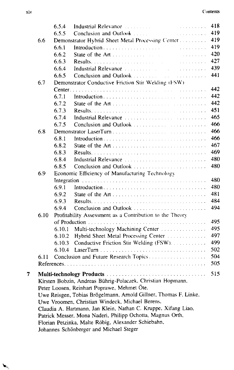|   |      | 6.5.4  | Industrial Relevance <i>manufacturer</i>                                                                                                                                                                                       | .                | 418 |
|---|------|--------|--------------------------------------------------------------------------------------------------------------------------------------------------------------------------------------------------------------------------------|------------------|-----|
|   |      | 6.5.5  | Conclusion and Outlook                                                                                                                                                                                                         | .                | 419 |
|   | 6.6  |        | Demonstrator Hybrid Sheet Metal Processing Center                                                                                                                                                                              |                  | 419 |
|   |      | 6.6.1  |                                                                                                                                                                                                                                |                  | 419 |
|   |      | 6.6.2  |                                                                                                                                                                                                                                | $\sim$           | 420 |
|   |      | 6.6.3  |                                                                                                                                                                                                                                | <u>.</u>         | 427 |
|   |      | 6.6.4  | Industrial Relevance Manuel Manuel Manuel Manuel Manuel Manuel Manuel Manuel Manuel Manuel Manuel Manuel Manuel Manuel Manuel Manuel Manuel Manuel Manuel Manuel Manuel Manuel Manuel Manuel Manuel Manuel Manuel Manuel Manue | المتحدث والمتحدث | 439 |
|   |      | 6.6.5  | Conclusion and Outlook <b>Conclusion</b><br><u>.</u><br>Tan masa sa karang kalendar                                                                                                                                            |                  | 441 |
|   | 6.7  |        | Demonstrator Conductive Friction Stir Welding (FSW)                                                                                                                                                                            |                  |     |
|   |      |        |                                                                                                                                                                                                                                |                  | 442 |
|   |      | 6.7.1  |                                                                                                                                                                                                                                |                  | 442 |
|   |      | 6.7.2  |                                                                                                                                                                                                                                |                  | 442 |
|   |      | 6.7.3  |                                                                                                                                                                                                                                |                  | 451 |
|   |      | 6.7.4  |                                                                                                                                                                                                                                |                  | 465 |
|   |      | 6.7.5  |                                                                                                                                                                                                                                |                  | 466 |
|   | 6.8  |        |                                                                                                                                                                                                                                |                  | 466 |
|   |      | 6.8.1  |                                                                                                                                                                                                                                |                  | 466 |
|   |      | 6.8.2  | State of the Art                                                                                                                                                                                                               |                  | 467 |
|   |      | 6.8.3  |                                                                                                                                                                                                                                |                  | 469 |
|   |      | 6.8.4  | Industrial Relevance                                                                                                                                                                                                           |                  | 480 |
|   |      | 6.8.5  | Conclusion and Outlook                                                                                                                                                                                                         |                  | 480 |
|   | 6.9  |        | Economic Efficiency of Manufacturing Technology                                                                                                                                                                                |                  |     |
|   |      |        |                                                                                                                                                                                                                                |                  | 480 |
|   |      | 6.9.1  |                                                                                                                                                                                                                                |                  | 480 |
|   |      | 6.9.2  | State of the Art                                                                                                                                                                                                               |                  | 481 |
|   |      | 6.9.3  |                                                                                                                                                                                                                                |                  | 484 |
|   |      | 6.9.4  | Conclusion and Outlook                                                                                                                                                                                                         |                  | 494 |
|   | 6.10 |        | Profitability Assessment as a Contribution to the Theory                                                                                                                                                                       |                  |     |
|   |      |        |                                                                                                                                                                                                                                |                  | 495 |
|   |      | 6.10.1 | Multi-technology Machining Center                                                                                                                                                                                              |                  | 495 |
|   |      | 6.10.2 | Hybrid Sheet Metal Processing Center                                                                                                                                                                                           |                  | 497 |
|   |      | 6.10.3 | Conductive Friction Stir Welding (FSW).                                                                                                                                                                                        |                  | 499 |
|   |      | 6.10.4 |                                                                                                                                                                                                                                |                  | 502 |
|   | 6.11 |        | Conclusion and Future Research Topics                                                                                                                                                                                          |                  | 504 |
|   |      |        |                                                                                                                                                                                                                                |                  | 505 |
| 7 |      |        |                                                                                                                                                                                                                                |                  | 515 |
|   |      |        | Kirsten Bobzin, Andreas Bührig-Polaczek, Christian Hopmann,                                                                                                                                                                    |                  |     |
|   |      |        | Peter Loosen, Reinhart Poprawe, Mehmet Öte.                                                                                                                                                                                    |                  |     |
|   |      |        | Uwe Reisgen, Tobias Brögelmann, Arnold Gillner, Thomas F. Linke.                                                                                                                                                               |                  |     |
|   |      |        | Uwe Vroomen, Christian Windeck, Michael Berens,                                                                                                                                                                                |                  |     |
|   |      |        | Claudia A. Hartmann, Jan Klein, Nathan C. Kruppe, Xifang Liao,                                                                                                                                                                 |                  |     |
|   |      |        | Patrick Messer, Mona Naderi, Philipp Ochotta, Magnus Orth,                                                                                                                                                                     |                  |     |
|   |      |        | Florian Petzinka, Malte Röbig, Alexander Schiebahn,                                                                                                                                                                            |                  |     |
|   |      |        | Johannes Schönberger and Michael Steger                                                                                                                                                                                        |                  |     |
|   |      |        |                                                                                                                                                                                                                                |                  |     |

V,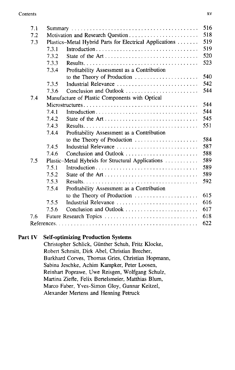| 7.1 |       |                                                         | 516 |  |  |
|-----|-------|---------------------------------------------------------|-----|--|--|
| 7.2 |       |                                                         | 518 |  |  |
| 7.3 |       | Plastics-Metal Hybrid Parts for Electrical Applications | 519 |  |  |
|     | 7.3.1 | Introduction                                            | 519 |  |  |
|     | 7.3.2 |                                                         | 520 |  |  |
|     | 7.3.3 |                                                         | 523 |  |  |
|     | 7.3.4 | Profitability Assessment as a Contribution              |     |  |  |
|     |       | to the Theory of Production                             | 540 |  |  |
|     | 7.3.5 | Industrial Relevance                                    | 542 |  |  |
|     | 7.3.6 | Conclusion and Outlook                                  | 544 |  |  |
| 7.4 |       | Manufacture of Plastic Components with Optical          |     |  |  |
|     |       |                                                         | 544 |  |  |
|     | 7.4.1 | Introduction                                            | 544 |  |  |
|     | 7.4.2 |                                                         | 545 |  |  |
|     | 7.4.3 |                                                         | 551 |  |  |
|     | 7.4.4 | Profitability Assessment as a Contribution              |     |  |  |
|     |       | to the Theory of Production                             | 584 |  |  |
|     | 7.4.5 | Industrial Relevance                                    | 587 |  |  |
|     | 7.4.6 |                                                         | 588 |  |  |
| 7.5 |       | Plastic-Metal Hybrids for Structural Applications       | 589 |  |  |
|     | 7.5.1 |                                                         | 589 |  |  |
|     | 7.5.2 |                                                         | 589 |  |  |
|     | 7.5.3 |                                                         | 592 |  |  |
|     | 7.5.4 | Profitability Assessment as a Contribution              |     |  |  |
|     |       | to the Theory of Production                             | 615 |  |  |
|     | 7.5.5 | Industrial Relevance                                    | 616 |  |  |
|     | 7.5.6 | Conclusion and Outlook                                  | 617 |  |  |
| 7.6 |       | Future Research Topics                                  | 618 |  |  |
|     | 622   |                                                         |     |  |  |

## Part IV Self-optimizing Production Systems

Christopher Schlick, Günther Schuh, Fritz Klocke, Robert Schmitt, Dirk Abel, Christian Brecher, Burkhard Corves, Thomas Gries, Christian Hopmann, Sabina Jeschke, Achim Kampker, Peter Loosen, Reinhart Poprawe, Uwe Reisgen, Wolfgang Schulz, Martina Ziefle, Felix Bertelsmeier, Matthias Blum, Marco Faber, Yves-Simon Gloy, Gunnar Keitzel, Alexander Mertens and Henning Petruck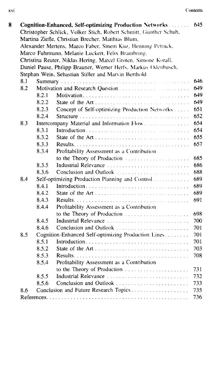|     |                                                   | Cognition-Enhanced, Self-optimizing Production Networks           | 645 |  |  |  |
|-----|---------------------------------------------------|-------------------------------------------------------------------|-----|--|--|--|
|     |                                                   | Christopher Schlick, Volker Stich, Robert Schmitt, Günther Schuh, |     |  |  |  |
|     | Martina Ziefle, Christian Brecher, Matthias Blum, |                                                                   |     |  |  |  |
|     |                                                   | Alexander Mertens, Marco Faber, Sinem Kuz, Henning Petruck,       |     |  |  |  |
|     |                                                   | Marco Fuhrmann, Melanie Luckert, Felix Brambring,                 |     |  |  |  |
|     |                                                   | Christina Reuter, Niklas Hering, Marcel Groten, Simone Korall,    |     |  |  |  |
|     |                                                   | Daniel Pause, Philipp Brauner, Werner Herfs, Markus Odenbusch.    |     |  |  |  |
|     |                                                   | Stephan Wein, Sebastian Stiller and Marvin Berthold               |     |  |  |  |
| 8.1 |                                                   | <u>.</u>                                                          | 646 |  |  |  |
| 8.2 |                                                   | Motivation and Research Question<br><u>.</u>                      | 649 |  |  |  |
|     | 8.2.1                                             |                                                                   | 649 |  |  |  |
|     | 8.2.2                                             |                                                                   | 649 |  |  |  |
|     | 8.2.3                                             | Concept of Self-optimizing Production Networks                    | 651 |  |  |  |
|     | 8.2.4                                             |                                                                   | 652 |  |  |  |
| 8.3 |                                                   | Intercompany Material and Information Flow                        | 654 |  |  |  |
|     | 8.3.1                                             |                                                                   | 654 |  |  |  |
|     | 8.3.2                                             | State of the Art                                                  | 655 |  |  |  |
|     | 8.3.3                                             |                                                                   | 657 |  |  |  |
|     | 8.3.4                                             | Profitability Assessment as a Contribution                        |     |  |  |  |
|     |                                                   | to the Theory of Production                                       | 685 |  |  |  |
|     | 8.3.5                                             | Industrial Relevance                                              | 686 |  |  |  |
|     | 8.3.6                                             | Conclusion and Outlook                                            | 688 |  |  |  |
| 8.4 |                                                   | Self-optimizing Production Planning and Control                   | 689 |  |  |  |
|     | 8.4.1                                             |                                                                   | 689 |  |  |  |
|     | 8.4.2                                             |                                                                   | 689 |  |  |  |
|     | 8.4.3                                             |                                                                   | 691 |  |  |  |
|     | 8.4.4                                             | Profitability Assessment as a Contribution                        |     |  |  |  |
|     |                                                   | to the Theory of Production                                       | 698 |  |  |  |
|     | 8.4.5                                             | Industrial Relevance                                              | 700 |  |  |  |
|     | 8.4.6                                             | Conclusion and Outlook                                            | 701 |  |  |  |
| 8.5 |                                                   | Cognition-Enhanced Self-optimizing Production Lines               | 701 |  |  |  |
|     | 8.5.1                                             | Introduction                                                      | 701 |  |  |  |
|     | 8.5.2                                             |                                                                   | 703 |  |  |  |
|     | 8.5.3                                             |                                                                   | 708 |  |  |  |
|     | 8.5.4                                             | Profitability Assessment as a Contribution                        |     |  |  |  |
|     |                                                   | to the Theory of Production                                       | 731 |  |  |  |
|     | 8.5.5                                             | Industrial Relevance                                              | 732 |  |  |  |
|     | 8.5.6                                             | Conclusion and Outlook                                            | 733 |  |  |  |
|     |                                                   | Conclusion and Future Research Topics                             | 735 |  |  |  |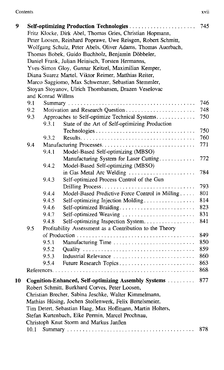| 9  |                                                      |                   |                                                              | 745 |  |  |  |
|----|------------------------------------------------------|-------------------|--------------------------------------------------------------|-----|--|--|--|
|    |                                                      |                   | Fritz Klocke, Dirk Abel, Thomas Gries, Christian Hopmann,    |     |  |  |  |
|    |                                                      |                   | Peter Loosen, Reinhard Poprawe, Uwe Reisgen, Robert Schmitt, |     |  |  |  |
|    |                                                      |                   | Wolfgang Schulz, Peter Abels, Oliver Adams, Thomas Auerbach, |     |  |  |  |
|    |                                                      |                   | Thomas Bobek, Guido Buchholz, Benjamin Döbbeler,             |     |  |  |  |
|    |                                                      |                   | Daniel Frank, Julian Heinisch, Torsten Hermanns,             |     |  |  |  |
|    | Yves-Simon Gloy, Gunnar Keitzel, Maximilian Kemper,  |                   |                                                              |     |  |  |  |
|    | Diana Suarez Martel, Viktor Reimer, Matthias Reiter, |                   |                                                              |     |  |  |  |
|    |                                                      |                   | Marco Saggiomo, Max Schwenzer, Sebastian Stemmler,           |     |  |  |  |
|    |                                                      |                   | Stoyan Stoyanov, Ulrich Thombansen, Drazen Veselovac         |     |  |  |  |
|    |                                                      | and Konrad Willms |                                                              |     |  |  |  |
|    | 9.1                                                  |                   |                                                              | 746 |  |  |  |
|    | 9.2                                                  |                   | Motivation and Research Question                             | 748 |  |  |  |
|    | 9.3                                                  |                   | Approaches to Self-optimize Technical Systems                | 750 |  |  |  |
|    |                                                      | 9.3.1             | State of the Art of Self-optimizing Production               |     |  |  |  |
|    |                                                      |                   |                                                              | 750 |  |  |  |
|    |                                                      | 9.3.2             |                                                              | 760 |  |  |  |
|    | 9.4                                                  |                   |                                                              | 771 |  |  |  |
|    |                                                      | 9.4.1             | Model-Based Self-optimizing (MBSO)                           |     |  |  |  |
|    |                                                      |                   | Manufacturing System for Laser Cutting                       | 772 |  |  |  |
|    |                                                      | 9.4.2             | Model-Based Self-optimizing (MBSO)                           |     |  |  |  |
|    |                                                      |                   | in Gas Metal Arc Welding                                     | 784 |  |  |  |
|    |                                                      | 9.4.3             | Self-optimized Process Control of the Gun                    |     |  |  |  |
|    |                                                      |                   | Drilling Process                                             | 793 |  |  |  |
|    |                                                      | 9.4.4             | Model-Based Predictive Force Control in Milling              | 801 |  |  |  |
|    |                                                      | 9.4.5             | Self-optimizing Injection Molding                            | 814 |  |  |  |
|    |                                                      | 9.4.6             |                                                              | 823 |  |  |  |
|    |                                                      | 9.4.7             | Self-optimized Weaving                                       | 831 |  |  |  |
|    |                                                      | 9.4.8             | Self-optimizing Inspection System                            | 841 |  |  |  |
|    | 9.5                                                  |                   | Profitability Assessment as a Contribution to the Theory     |     |  |  |  |
|    |                                                      |                   |                                                              | 849 |  |  |  |
|    |                                                      | 9.5.1             | Manufacturing Time                                           | 850 |  |  |  |
|    |                                                      | 9.5.2             |                                                              | 859 |  |  |  |
|    |                                                      | 9.5.3             | Industrial Relevance                                         | 860 |  |  |  |
|    |                                                      | 9.5.4             | Future Research Topics                                       | 863 |  |  |  |
|    | 868                                                  |                   |                                                              |     |  |  |  |
| 10 |                                                      |                   | Cognition-Enhanced, Self-optimizing Assembly Systems         | 877 |  |  |  |
|    |                                                      |                   | Robert Schmitt, Burkhard Corves, Peter Loosen,               |     |  |  |  |
|    |                                                      |                   | Christian Brecher, Sabina Jeschke, Walter Kimmelmann,        |     |  |  |  |
|    |                                                      |                   | Mathias Hüsing, Jochen Stollenwerk, Felix Bertelsmeier,      |     |  |  |  |
|    |                                                      |                   | Tim Detert, Sebastian Haag, Max Hoffmann, Martin Holters,    |     |  |  |  |
|    |                                                      |                   | Stefan Kurtenbach, Eike Permin, Marcel Prochnau,             |     |  |  |  |
|    |                                                      |                   | Christoph Knut Storm and Markus Janßen                       |     |  |  |  |
|    | 10.1                                                 |                   |                                                              | 878 |  |  |  |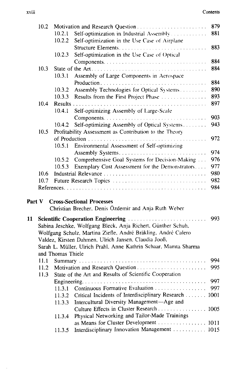|        | 10.2 |                   |                                                                  | 879  |
|--------|------|-------------------|------------------------------------------------------------------|------|
|        |      | 10.2.1            | Self-optimization in Industrial Assembly.                        | 881  |
|        |      | 10.2.2            | Self-optimization in the Use Case of Airplane                    |      |
|        |      |                   |                                                                  | 883  |
|        |      | 10.2.3            | Self-optimization in the Use Case of Optical                     |      |
|        |      |                   |                                                                  | 884  |
|        | 10.3 |                   |                                                                  | 884  |
|        |      | 10.3.1            | Assembly of Large Components in Aerospace                        |      |
|        |      |                   |                                                                  | 884  |
|        |      | 10.3.2            | Assembly Technologies for Optical Systems                        | 890  |
|        |      | 10.3.3            | Results from the First Project Phase                             | 893  |
|        | 10.4 |                   | Results $\ldots$ ,                                               | 897  |
|        |      | 10.4.1            | Self-optimizing Assembly of Large-Scale                          |      |
|        |      |                   |                                                                  | 903  |
|        |      | 10.4.2            | Self-optimizing Assembly of Optical Systems                      | 943  |
|        | 10.5 |                   | Profitability Assessment as Contribution to the Theory           |      |
|        |      |                   | of Production<br>.                                               | 972  |
|        |      | 10.5.1            | Environmental Assessment of Self-optimizing                      |      |
|        |      |                   |                                                                  | 974  |
|        |      | 10.5.2            | Comprehensive Goal Systems for Decision-Making                   | 976  |
|        |      | 10.5.3            | Exemplary Cost Assessment for the Demonstrators                  | 977  |
|        | 10.6 |                   |                                                                  | 980  |
|        | 10.7 |                   | Future Research Topics                                           | 982  |
|        |      |                   |                                                                  | 984  |
|        |      |                   |                                                                  |      |
| Part V |      |                   | <b>Cross-Sectional Processes</b>                                 |      |
|        |      |                   | Christian Brecher, Denis Özdemir and Anja Ruth Weber             |      |
|        |      |                   |                                                                  |      |
| 11     |      |                   |                                                                  | 993  |
|        |      |                   | Sabina Jeschke, Wolfgang Bleck, Anja Richert, Günther Schuh,     |      |
|        |      |                   | Wolfgang Schulz, Martina Ziefle, André Bräkling, André Calero    |      |
|        |      |                   | Valdez, Kirsten Dahmen, Ulrich Jansen, Claudia Jooß,             |      |
|        |      |                   | Sarah L. Müller, Ulrich Prahl, Anne Kathrin Schaar, Mamta Sharma |      |
|        |      | and Thomas Thiele |                                                                  |      |
|        | 11.1 |                   |                                                                  | 994  |
|        | 11.2 |                   | Motivation and Research Question                                 | 995  |
|        | 11.3 |                   | State of the Art and Results of Scientific Cooperation           |      |
|        |      |                   |                                                                  | 997  |
|        |      | 11.3.1            | Continuous Formative Evaluation                                  | 997  |
|        |      | 11.3.2            | Critical Incidents of Interdisciplinary Research                 | 1001 |
|        |      | 11.3.3            | Intercultural Diversity Management-Age and                       |      |
|        |      |                   | Culture Effects in Cluster Research                              | 1005 |
|        |      | 11.3.4            | Physical Networking and Tailor-Made Trainings                    |      |
|        |      |                   |                                                                  |      |
|        |      | 11.3.5            | Interdisciplinary Innovation Management  1015                    |      |